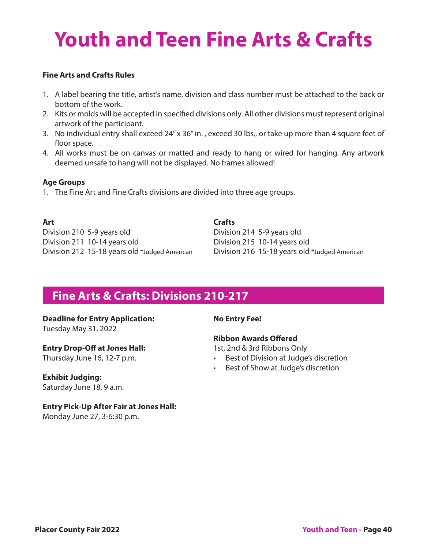# **Youth and Teen Fine Arts & Crafts**

#### **Fine Arts and Crafts Rules**

- 1. A label bearing the title, artist's name, division and class number must be attached to the back or bottom of the work.
- 2. Kits or molds will be accepted in specified divisions only. All other divisions must represent original artwork of the participant.
- 3. No individual entry shall exceed 24" x 36" in. , exceed 30 lbs., or take up more than 4 square feet of floor space.
- 4. All works must be on canvas or matted and ready to hang or wired for hanging. Any artwork deemed unsafe to hang will not be displayed. No frames allowed!

#### **Age Groups**

1. The Fine Art and Fine Crafts divisions are divided into three age groups.

| <b>Art</b>                                    | <b>Crafts</b>  |
|-----------------------------------------------|----------------|
| Division 210 5-9 years old                    | <b>Divisio</b> |
| Division 211 10-14 years old                  | <b>Divisio</b> |
| Division 212 15-18 years old *Judged American | <b>Divisio</b> |

ision 214 5-9 years old ision 215 10-14 years old rision 216 15-18 years old \*Judged American

### **Fine Arts & Crafts: Divisions 210-217**

#### **Deadline for Entry Application:**

Tuesday May 31, 2022

#### **Entry Drop-Off at Jones Hall:**

Thursday June 16, 12-7 p.m.

#### **Exhibit Judging:**

Saturday June 18, 9 a.m.

**Entry Pick-Up After Fair at Jones Hall:**  Monday June 27, 3-6:30 p.m.

#### **No Entry Fee!**

#### **Ribbon Awards Offered**

1st, 2nd & 3rd Ribbons Only

- Best of Division at Judge's discretion
- Best of Show at Judge's discretion